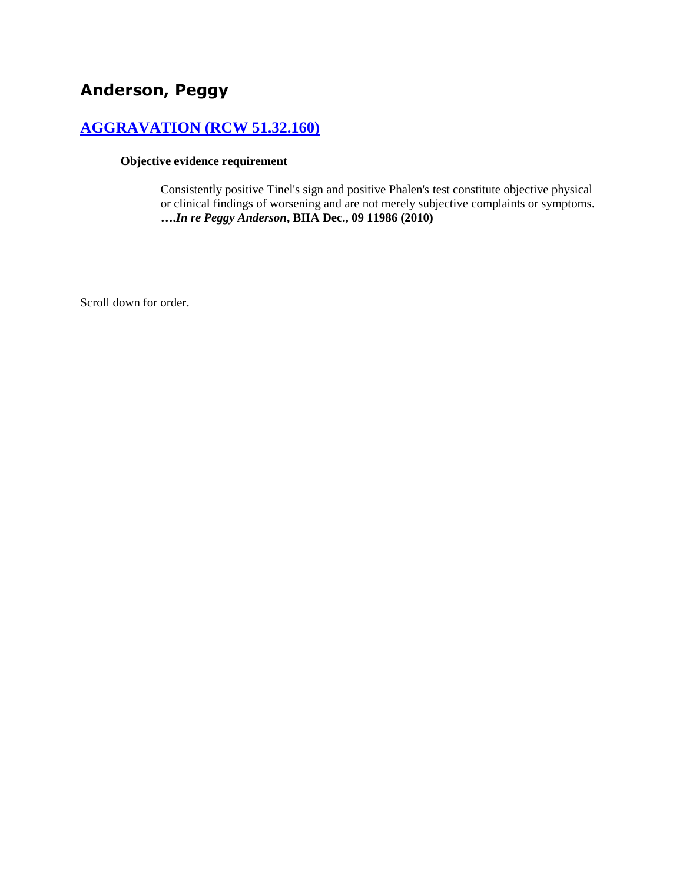# **[AGGRAVATION \(RCW 51.32.160\)](http://www.biia.wa.gov/SDSubjectIndex.html#AGGRAVATION)**

#### **Objective evidence requirement**

Consistently positive Tinel's sign and positive Phalen's test constitute objective physical or clinical findings of worsening and are not merely subjective complaints or symptoms. **….***In re Peggy Anderson***, BIIA Dec., 09 11986 (2010)**

Scroll down for order.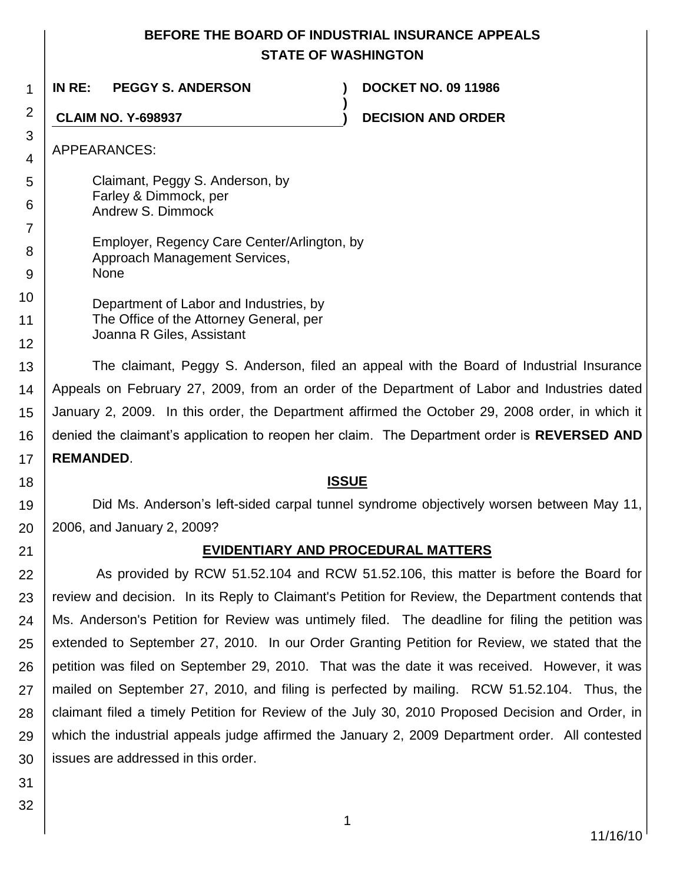# **BEFORE THE BOARD OF INDUSTRIAL INSURANCE APPEALS STATE OF WASHINGTON**

**)**

**IN RE: PEGGY S. ANDERSON ) DOCKET NO. 09 11986**

**CLAIM NO. Y-698937 ) DECISION AND ORDER**

APPEARANCES:

1

2

3 4

- 5 6 Claimant, Peggy S. Anderson, by Farley & Dimmock, per Andrew S. Dimmock
- 7 8 9 Employer, Regency Care Center/Arlington, by Approach Management Services, None
- 10 11 12 Department of Labor and Industries, by The Office of the Attorney General, per Joanna R Giles, Assistant

13 14 15 16 17 The claimant, Peggy S. Anderson, filed an appeal with the Board of Industrial Insurance Appeals on February 27, 2009, from an order of the Department of Labor and Industries dated January 2, 2009. In this order, the Department affirmed the October 29, 2008 order, in which it denied the claimant's application to reopen her claim. The Department order is **REVERSED AND REMANDED**.

#### **ISSUE**

19 20 Did Ms. Anderson's left-sided carpal tunnel syndrome objectively worsen between May 11, 2006, and January 2, 2009?

21

18

# **EVIDENTIARY AND PROCEDURAL MATTERS**

22 23 24 25 26 27 28 29 30 As provided by RCW 51.52.104 and RCW 51.52.106, this matter is before the Board for review and decision. In its Reply to Claimant's Petition for Review, the Department contends that Ms. Anderson's Petition for Review was untimely filed. The deadline for filing the petition was extended to September 27, 2010. In our Order Granting Petition for Review, we stated that the petition was filed on September 29, 2010. That was the date it was received. However, it was mailed on September 27, 2010, and filing is perfected by mailing. RCW 51.52.104. Thus, the claimant filed a timely Petition for Review of the July 30, 2010 Proposed Decision and Order, in which the industrial appeals judge affirmed the January 2, 2009 Department order. All contested issues are addressed in this order.

31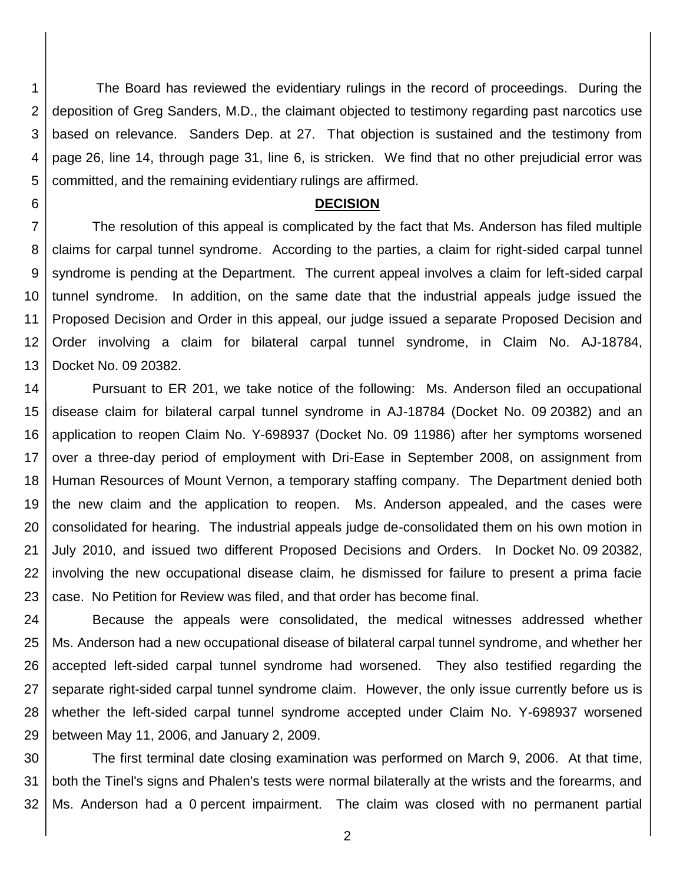1 2 3 4 5 The Board has reviewed the evidentiary rulings in the record of proceedings. During the deposition of Greg Sanders, M.D., the claimant objected to testimony regarding past narcotics use based on relevance. Sanders Dep. at 27. That objection is sustained and the testimony from page 26, line 14, through page 31, line 6, is stricken. We find that no other prejudicial error was committed, and the remaining evidentiary rulings are affirmed.

#### **DECISION**

6

7 8 9 10 11 12 13 The resolution of this appeal is complicated by the fact that Ms. Anderson has filed multiple claims for carpal tunnel syndrome. According to the parties, a claim for right-sided carpal tunnel syndrome is pending at the Department. The current appeal involves a claim for left-sided carpal tunnel syndrome. In addition, on the same date that the industrial appeals judge issued the Proposed Decision and Order in this appeal, our judge issued a separate Proposed Decision and Order involving a claim for bilateral carpal tunnel syndrome, in Claim No. AJ-18784, Docket No. 09 20382.

14 15 16 17 18 19 20 21 22 23 Pursuant to ER 201, we take notice of the following: Ms. Anderson filed an occupational disease claim for bilateral carpal tunnel syndrome in AJ-18784 (Docket No. 09 20382) and an application to reopen Claim No. Y-698937 (Docket No. 09 11986) after her symptoms worsened over a three-day period of employment with Dri-Ease in September 2008, on assignment from Human Resources of Mount Vernon, a temporary staffing company. The Department denied both the new claim and the application to reopen. Ms. Anderson appealed, and the cases were consolidated for hearing. The industrial appeals judge de-consolidated them on his own motion in July 2010, and issued two different Proposed Decisions and Orders. In Docket No. 09 20382, involving the new occupational disease claim, he dismissed for failure to present a prima facie case. No Petition for Review was filed, and that order has become final.

24 25 26 27 28 29 Because the appeals were consolidated, the medical witnesses addressed whether Ms. Anderson had a new occupational disease of bilateral carpal tunnel syndrome, and whether her accepted left-sided carpal tunnel syndrome had worsened. They also testified regarding the separate right-sided carpal tunnel syndrome claim. However, the only issue currently before us is whether the left-sided carpal tunnel syndrome accepted under Claim No. Y-698937 worsened between May 11, 2006, and January 2, 2009.

30 31 32 The first terminal date closing examination was performed on March 9, 2006. At that time, both the Tinel's signs and Phalen's tests were normal bilaterally at the wrists and the forearms, and Ms. Anderson had a 0 percent impairment. The claim was closed with no permanent partial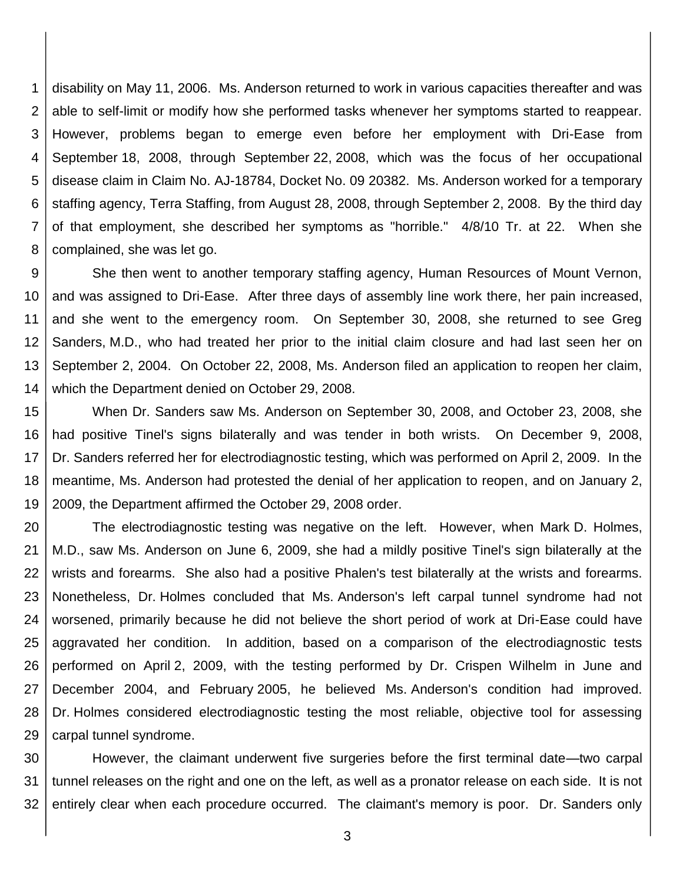1 2 3 4 5 6 7 8 disability on May 11, 2006. Ms. Anderson returned to work in various capacities thereafter and was able to self-limit or modify how she performed tasks whenever her symptoms started to reappear. However, problems began to emerge even before her employment with Dri-Ease from September 18, 2008, through September 22, 2008, which was the focus of her occupational disease claim in Claim No. AJ-18784, Docket No. 09 20382. Ms. Anderson worked for a temporary staffing agency, Terra Staffing, from August 28, 2008, through September 2, 2008. By the third day of that employment, she described her symptoms as "horrible." 4/8/10 Tr. at 22. When she complained, she was let go.

9 10 11 12 13 14 She then went to another temporary staffing agency, Human Resources of Mount Vernon, and was assigned to Dri-Ease. After three days of assembly line work there, her pain increased, and she went to the emergency room. On September 30, 2008, she returned to see Greg Sanders, M.D., who had treated her prior to the initial claim closure and had last seen her on September 2, 2004. On October 22, 2008, Ms. Anderson filed an application to reopen her claim, which the Department denied on October 29, 2008.

15 16 17 18 19 When Dr. Sanders saw Ms. Anderson on September 30, 2008, and October 23, 2008, she had positive Tinel's signs bilaterally and was tender in both wrists. On December 9, 2008, Dr. Sanders referred her for electrodiagnostic testing, which was performed on April 2, 2009. In the meantime, Ms. Anderson had protested the denial of her application to reopen, and on January 2, 2009, the Department affirmed the October 29, 2008 order.

20 21 22 23 24 25 26 27 28 29 The electrodiagnostic testing was negative on the left. However, when Mark D. Holmes, M.D., saw Ms. Anderson on June 6, 2009, she had a mildly positive Tinel's sign bilaterally at the wrists and forearms. She also had a positive Phalen's test bilaterally at the wrists and forearms. Nonetheless, Dr. Holmes concluded that Ms. Anderson's left carpal tunnel syndrome had not worsened, primarily because he did not believe the short period of work at Dri-Ease could have aggravated her condition. In addition, based on a comparison of the electrodiagnostic tests performed on April 2, 2009, with the testing performed by Dr. Crispen Wilhelm in June and December 2004, and February 2005, he believed Ms. Anderson's condition had improved. Dr. Holmes considered electrodiagnostic testing the most reliable, objective tool for assessing carpal tunnel syndrome.

30 31 32 However, the claimant underwent five surgeries before the first terminal date—two carpal tunnel releases on the right and one on the left, as well as a pronator release on each side. It is not entirely clear when each procedure occurred. The claimant's memory is poor. Dr. Sanders only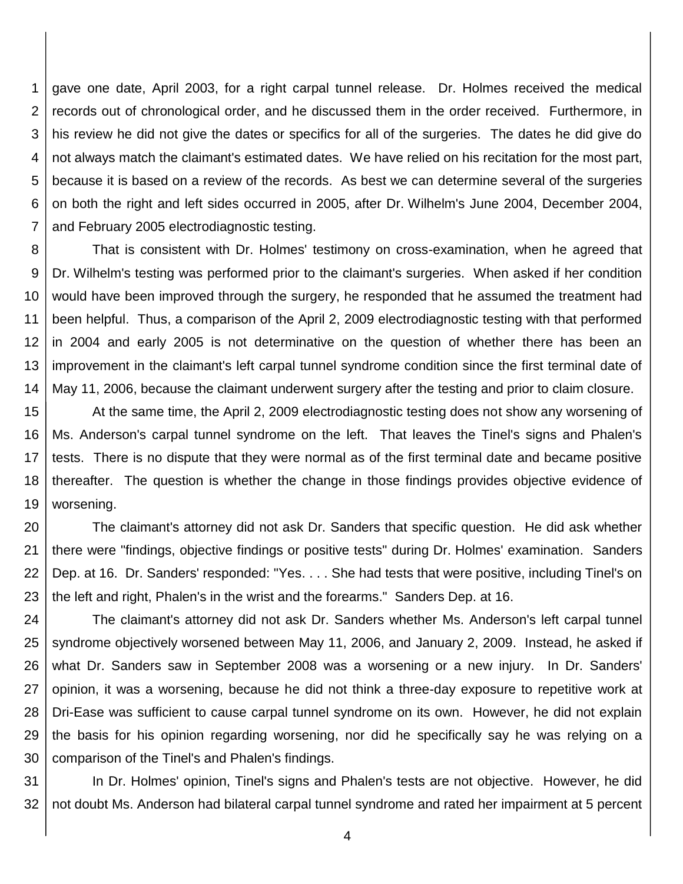1 2 3 4 5 6 7 gave one date, April 2003, for a right carpal tunnel release. Dr. Holmes received the medical records out of chronological order, and he discussed them in the order received. Furthermore, in his review he did not give the dates or specifics for all of the surgeries. The dates he did give do not always match the claimant's estimated dates. We have relied on his recitation for the most part, because it is based on a review of the records. As best we can determine several of the surgeries on both the right and left sides occurred in 2005, after Dr. Wilhelm's June 2004, December 2004, and February 2005 electrodiagnostic testing.

8 9 10 11 12 13 14 That is consistent with Dr. Holmes' testimony on cross-examination, when he agreed that Dr. Wilhelm's testing was performed prior to the claimant's surgeries. When asked if her condition would have been improved through the surgery, he responded that he assumed the treatment had been helpful. Thus, a comparison of the April 2, 2009 electrodiagnostic testing with that performed in 2004 and early 2005 is not determinative on the question of whether there has been an improvement in the claimant's left carpal tunnel syndrome condition since the first terminal date of May 11, 2006, because the claimant underwent surgery after the testing and prior to claim closure.

15 16 17 18 19 At the same time, the April 2, 2009 electrodiagnostic testing does not show any worsening of Ms. Anderson's carpal tunnel syndrome on the left. That leaves the Tinel's signs and Phalen's tests. There is no dispute that they were normal as of the first terminal date and became positive thereafter. The question is whether the change in those findings provides objective evidence of worsening.

20 21 22 23 The claimant's attorney did not ask Dr. Sanders that specific question. He did ask whether there were "findings, objective findings or positive tests" during Dr. Holmes' examination. Sanders Dep. at 16. Dr. Sanders' responded: "Yes. . . . She had tests that were positive, including Tinel's on the left and right, Phalen's in the wrist and the forearms." Sanders Dep. at 16.

24 25 26 27 28 29 30 The claimant's attorney did not ask Dr. Sanders whether Ms. Anderson's left carpal tunnel syndrome objectively worsened between May 11, 2006, and January 2, 2009. Instead, he asked if what Dr. Sanders saw in September 2008 was a worsening or a new injury. In Dr. Sanders' opinion, it was a worsening, because he did not think a three-day exposure to repetitive work at Dri-Ease was sufficient to cause carpal tunnel syndrome on its own. However, he did not explain the basis for his opinion regarding worsening, nor did he specifically say he was relying on a comparison of the Tinel's and Phalen's findings.

31 32 In Dr. Holmes' opinion, Tinel's signs and Phalen's tests are not objective. However, he did not doubt Ms. Anderson had bilateral carpal tunnel syndrome and rated her impairment at 5 percent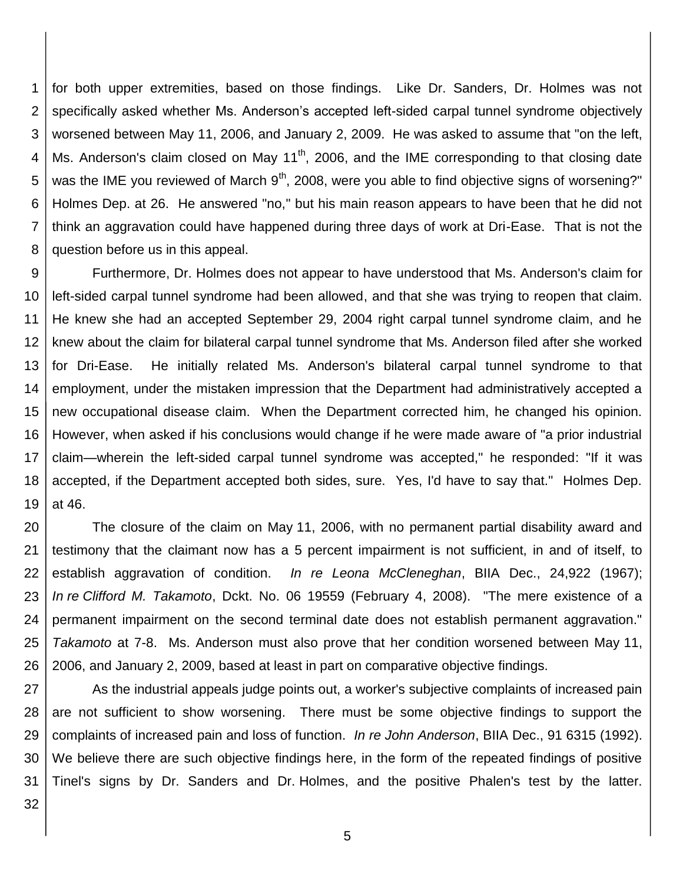1 2 3 4 5 6 7 8 for both upper extremities, based on those findings. Like Dr. Sanders, Dr. Holmes was not specifically asked whether Ms. Anderson's accepted left-sided carpal tunnel syndrome objectively worsened between May 11, 2006, and January 2, 2009. He was asked to assume that "on the left, Ms. Anderson's claim closed on May 11<sup>th</sup>, 2006, and the IME corresponding to that closing date was the IME you reviewed of March  $9<sup>th</sup>$ , 2008, were you able to find objective signs of worsening?" Holmes Dep. at 26. He answered "no," but his main reason appears to have been that he did not think an aggravation could have happened during three days of work at Dri-Ease. That is not the question before us in this appeal.

9 10 11 12 13 14 15 16 17 18 19 Furthermore, Dr. Holmes does not appear to have understood that Ms. Anderson's claim for left-sided carpal tunnel syndrome had been allowed, and that she was trying to reopen that claim. He knew she had an accepted September 29, 2004 right carpal tunnel syndrome claim, and he knew about the claim for bilateral carpal tunnel syndrome that Ms. Anderson filed after she worked for Dri-Ease. He initially related Ms. Anderson's bilateral carpal tunnel syndrome to that employment, under the mistaken impression that the Department had administratively accepted a new occupational disease claim. When the Department corrected him, he changed his opinion. However, when asked if his conclusions would change if he were made aware of "a prior industrial claim—wherein the left-sided carpal tunnel syndrome was accepted," he responded: "If it was accepted, if the Department accepted both sides, sure. Yes, I'd have to say that." Holmes Dep. at 46.

20 21 22 23 24 25 26 The closure of the claim on May 11, 2006, with no permanent partial disability award and testimony that the claimant now has a 5 percent impairment is not sufficient, in and of itself, to establish aggravation of condition. *In re Leona McCleneghan*, BIIA Dec., 24,922 (1967); *In re Clifford M. Takamoto*, Dckt. No. 06 19559 (February 4, 2008). "The mere existence of a permanent impairment on the second terminal date does not establish permanent aggravation." *Takamoto* at 7-8. Ms. Anderson must also prove that her condition worsened between May 11, 2006, and January 2, 2009, based at least in part on comparative objective findings.

27 28 29 30 31 As the industrial appeals judge points out, a worker's subjective complaints of increased pain are not sufficient to show worsening. There must be some objective findings to support the complaints of increased pain and loss of function. *In re John Anderson*, BIIA Dec., 91 6315 (1992). We believe there are such objective findings here, in the form of the repeated findings of positive Tinel's signs by Dr. Sanders and Dr. Holmes, and the positive Phalen's test by the latter.

32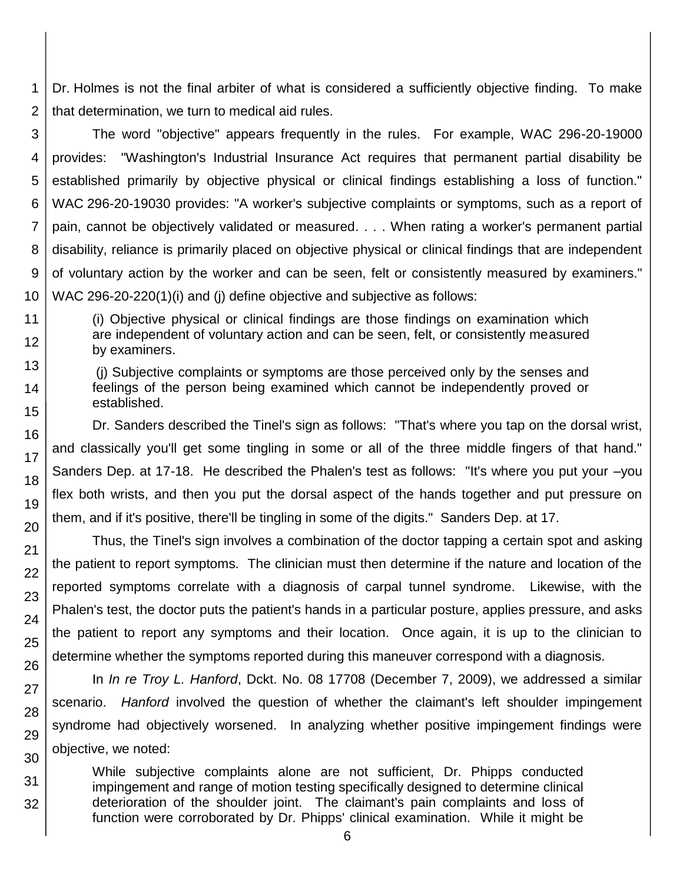1 2 Dr. Holmes is not the final arbiter of what is considered a sufficiently objective finding. To make that determination, we turn to medical aid rules.

3 4 5 6 The word "objective" appears frequently in the rules. For example, WAC 296-20-19000 provides: "Washington's Industrial Insurance Act requires that permanent partial disability be established primarily by objective physical or clinical findings establishing a loss of function." WAC 296-20-19030 provides: "A worker's subjective complaints or symptoms, such as a report of pain, cannot be objectively validated or measured. . . . When rating a worker's permanent partial disability, reliance is primarily placed on objective physical or clinical findings that are independent of voluntary action by the worker and can be seen, felt or consistently measured by examiners." WAC 296-20-220(1)(i) and (i) define objective and subjective as follows:

(i) Objective physical or clinical findings are those findings on examination which are independent of voluntary action and can be seen, felt, or consistently measured by examiners.

(j) Subjective complaints or symptoms are those perceived only by the senses and feelings of the person being examined which cannot be independently proved or established.

Dr. Sanders described the Tinel's sign as follows: "That's where you tap on the dorsal wrist, and classically you'll get some tingling in some or all of the three middle fingers of that hand." Sanders Dep. at 17-18. He described the Phalen's test as follows: "It's where you put your –you flex both wrists, and then you put the dorsal aspect of the hands together and put pressure on them, and if it's positive, there'll be tingling in some of the digits." Sanders Dep. at 17.

Thus, the Tinel's sign involves a combination of the doctor tapping a certain spot and asking the patient to report symptoms. The clinician must then determine if the nature and location of the reported symptoms correlate with a diagnosis of carpal tunnel syndrome. Likewise, with the Phalen's test, the doctor puts the patient's hands in a particular posture, applies pressure, and asks the patient to report any symptoms and their location. Once again, it is up to the clinician to determine whether the symptoms reported during this maneuver correspond with a diagnosis.

In *In re Troy L. Hanford*, Dckt. No. 08 17708 (December 7, 2009), we addressed a similar scenario. *Hanford* involved the question of whether the claimant's left shoulder impingement syndrome had objectively worsened. In analyzing whether positive impingement findings were objective, we noted:

While subjective complaints alone are not sufficient, Dr. Phipps conducted impingement and range of motion testing specifically designed to determine clinical deterioration of the shoulder joint. The claimant's pain complaints and loss of function were corroborated by Dr. Phipps' clinical examination. While it might be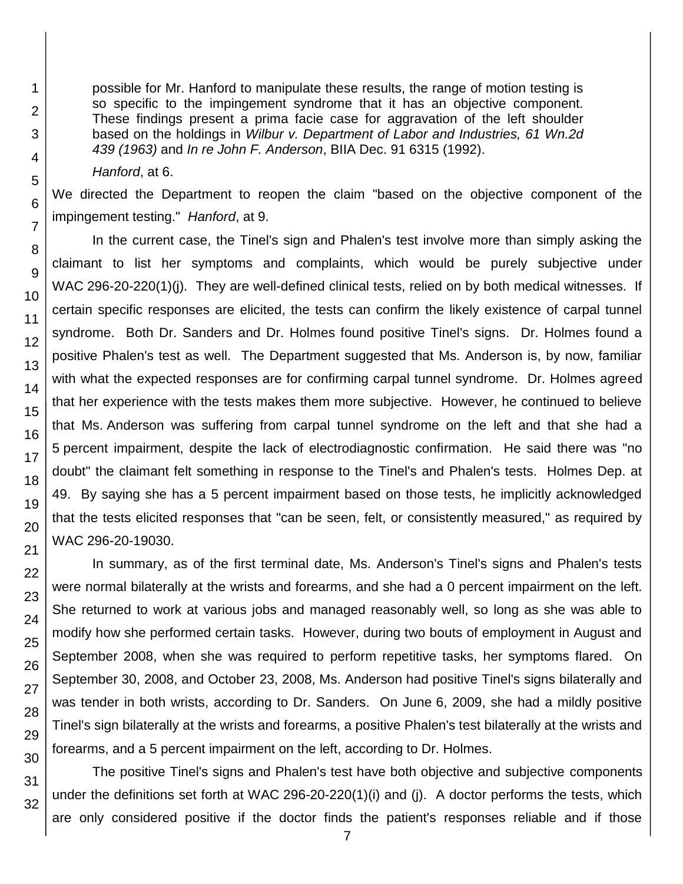possible for Mr. Hanford to manipulate these results, the range of motion testing is so specific to the impingement syndrome that it has an objective component. These findings present a prima facie case for aggravation of the left shoulder based on the holdings in *Wilbur v. Department of Labor and Industries, 61 Wn.2d 439 (1963)* and *In re John F. Anderson*, BIIA Dec. 91 6315 (1992).

*Hanford*, at 6.

We directed the Department to reopen the claim "based on the objective component of the impingement testing." *Hanford*, at 9.

In the current case, the Tinel's sign and Phalen's test involve more than simply asking the claimant to list her symptoms and complaints, which would be purely subjective under WAC 296-20-220(1)(j). They are well-defined clinical tests, relied on by both medical witnesses. If certain specific responses are elicited, the tests can confirm the likely existence of carpal tunnel syndrome. Both Dr. Sanders and Dr. Holmes found positive Tinel's signs. Dr. Holmes found a positive Phalen's test as well. The Department suggested that Ms. Anderson is, by now, familiar with what the expected responses are for confirming carpal tunnel syndrome. Dr. Holmes agreed that her experience with the tests makes them more subjective. However, he continued to believe that Ms. Anderson was suffering from carpal tunnel syndrome on the left and that she had a 5 percent impairment, despite the lack of electrodiagnostic confirmation. He said there was "no doubt" the claimant felt something in response to the Tinel's and Phalen's tests. Holmes Dep. at 49. By saying she has a 5 percent impairment based on those tests, he implicitly acknowledged that the tests elicited responses that "can be seen, felt, or consistently measured," as required by WAC 296-20-19030.

In summary, as of the first terminal date, Ms. Anderson's Tinel's signs and Phalen's tests were normal bilaterally at the wrists and forearms, and she had a 0 percent impairment on the left. She returned to work at various jobs and managed reasonably well, so long as she was able to modify how she performed certain tasks. However, during two bouts of employment in August and September 2008, when she was required to perform repetitive tasks, her symptoms flared. On September 30, 2008, and October 23, 2008, Ms. Anderson had positive Tinel's signs bilaterally and was tender in both wrists, according to Dr. Sanders. On June 6, 2009, she had a mildly positive Tinel's sign bilaterally at the wrists and forearms, a positive Phalen's test bilaterally at the wrists and forearms, and a 5 percent impairment on the left, according to Dr. Holmes.

The positive Tinel's signs and Phalen's test have both objective and subjective components under the definitions set forth at WAC 296-20-220(1)(i) and (j). A doctor performs the tests, which are only considered positive if the doctor finds the patient's responses reliable and if those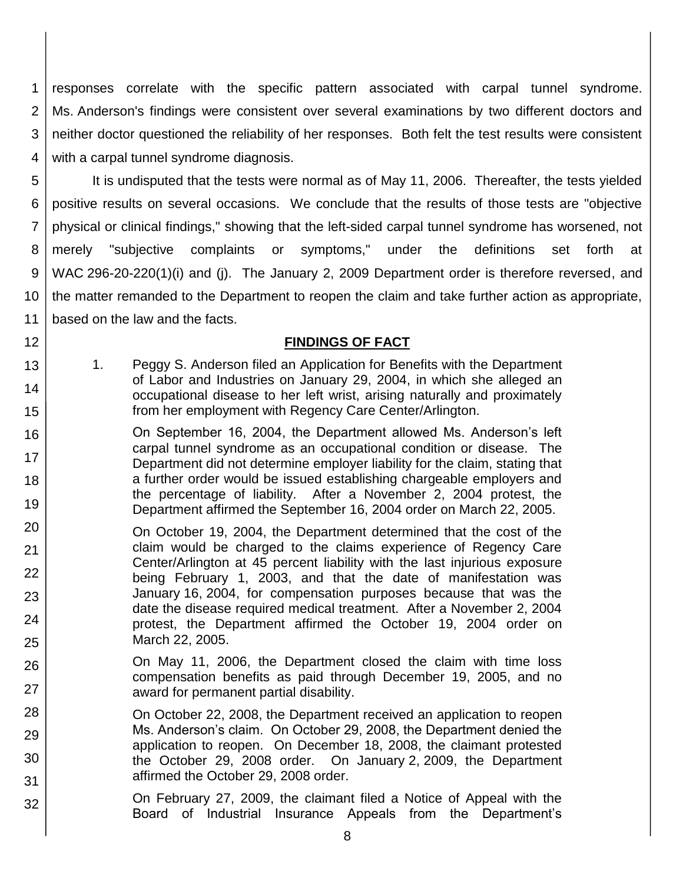1 2 3 4 responses correlate with the specific pattern associated with carpal tunnel syndrome. Ms. Anderson's findings were consistent over several examinations by two different doctors and neither doctor questioned the reliability of her responses. Both felt the test results were consistent with a carpal tunnel syndrome diagnosis.

5 6 7 8 9 10 11 It is undisputed that the tests were normal as of May 11, 2006. Thereafter, the tests yielded positive results on several occasions. We conclude that the results of those tests are "objective physical or clinical findings," showing that the left-sided carpal tunnel syndrome has worsened, not merely "subjective complaints or symptoms," under the definitions set forth at WAC 296-20-220(1)(i) and (j). The January 2, 2009 Department order is therefore reversed, and the matter remanded to the Department to reopen the claim and take further action as appropriate, based on the law and the facts.

#### **FINDINGS OF FACT**

1. Peggy S. Anderson filed an Application for Benefits with the Department of Labor and Industries on January 29, 2004, in which she alleged an occupational disease to her left wrist, arising naturally and proximately from her employment with Regency Care Center/Arlington.

12

13

14

15

16

17 18

19

32

On September 16, 2004, the Department allowed Ms. Anderson's left carpal tunnel syndrome as an occupational condition or disease. The Department did not determine employer liability for the claim, stating that a further order would be issued establishing chargeable employers and the percentage of liability. After a November 2, 2004 protest, the Department affirmed the September 16, 2004 order on March 22, 2005.

- 20 21 22 23 24 25 On October 19, 2004, the Department determined that the cost of the claim would be charged to the claims experience of Regency Care Center/Arlington at 45 percent liability with the last injurious exposure being February 1, 2003, and that the date of manifestation was January 16, 2004, for compensation purposes because that was the date the disease required medical treatment. After a November 2, 2004 protest, the Department affirmed the October 19, 2004 order on March 22, 2005.
- 26 27 On May 11, 2006, the Department closed the claim with time loss compensation benefits as paid through December 19, 2005, and no award for permanent partial disability.
- 28 29 30 31 On October 22, 2008, the Department received an application to reopen Ms. Anderson's claim. On October 29, 2008, the Department denied the application to reopen. On December 18, 2008, the claimant protested the October 29, 2008 order. On January 2, 2009, the Department affirmed the October 29, 2008 order.

On February 27, 2009, the claimant filed a Notice of Appeal with the Board of Industrial Insurance Appeals from the Department's